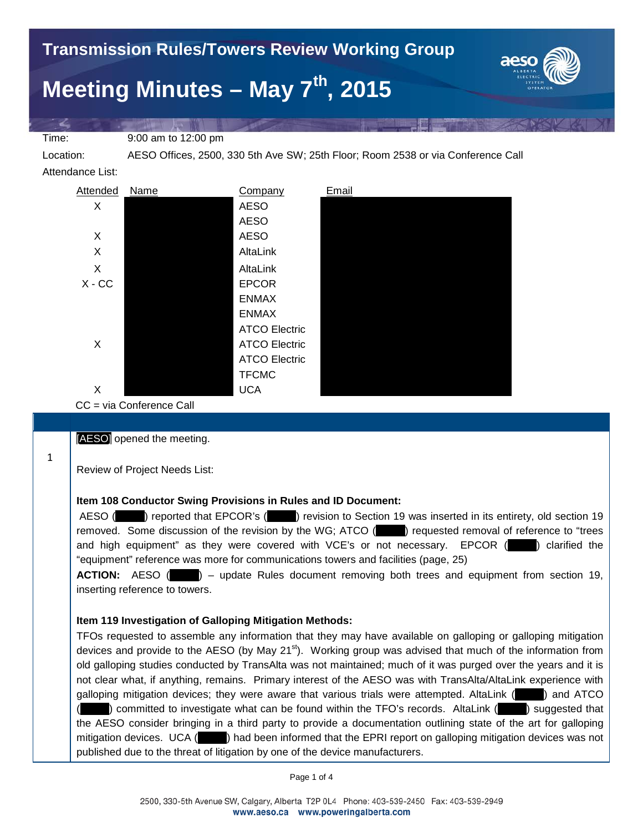

Time: 9:00 am to 12:00 pm

1

Location: AESO Offices, 2500, 330 5th Ave SW; 25th Floor; Room 2538 or via Conference Call

Attendance List:



CC = via Conference Call

[AESO] opened the meeting.

Review of Project Needs List:

# **Item 108 Conductor Swing Provisions in Rules and ID Document:**

AESO (excited that EPCOR's (excited to Section 19 was inserted in its entirety, old section 19 removed. Some discussion of the revision by the WG; ATCO (equested removal of reference to "trees" and high equipment" as they were covered with VCE's or not necessary. EPCOR ( $\Box$ ) clarified the "equipment" reference was more for communications towers and facilities (page, 25)

**ACTION:** AESO ( $\qquad$ ) – update Rules document removing both trees and equipment from section 19, inserting reference to towers.

# **Item 119 Investigation of Galloping Mitigation Methods:**

TFOs requested to assemble any information that they may have available on galloping or galloping mitigation devices and provide to the AESO (by May 21 $\text{st}$ ). Working group was advised that much of the information from old galloping studies conducted by TransAlta was not maintained; much of it was purged over the years and it is not clear what, if anything, remains. Primary interest of the AESO was with TransAlta/AltaLink experience with galloping mitigation devices; they were aware that various trials were attempted. AltaLink (\_\_\_\_\_) and ATCO (committed to investigate what can be found within the TFO's records. AltaLink (**netch)** suggested that the AESO consider bringing in a third party to provide a documentation outlining state of the art for galloping mitigation devices. UCA ( $\Box$ ) had been informed that the EPRI report on galloping mitigation devices was not published due to the threat of litigation by one of the device manufacturers.

Page 1 of 4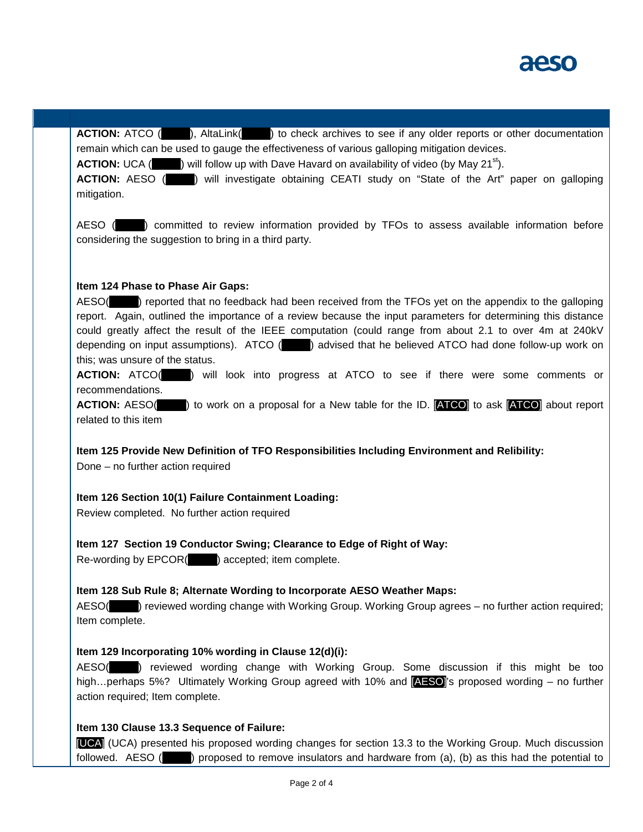

**ACTION:** ATCO ( $\blacksquare$ ), AltaLink( $\blacksquare$ ) to check archives to see if any older reports or other documentation remain which can be used to gauge the effectiveness of various galloping mitigation devices.

**ACTION:** UCA (  $\blacksquare$  ) will follow up with Dave Havard on availability of video (by May 21<sup>st</sup>).

**ACTION:** AESO ( $\blacksquare$ ) will investigate obtaining CEATI study on "State of the Art" paper on galloping mitigation.

AESO ( $\Box$ ) committed to review information provided by TFOs to assess available information before considering the suggestion to bring in a third party.

### **Item 124 Phase to Phase Air Gaps:**

AESO(\_\_\_\_\_) reported that no feedback had been received from the TFOs yet on the appendix to the galloping report. Again, outlined the importance of a review because the input parameters for determining this distance could greatly affect the result of the IEEE computation (could range from about 2.1 to over 4m at 240kV depending on input assumptions). ATCO (  $\qquad$  ) advised that he believed ATCO had done follow-up work on this; was unsure of the status.

**ACTION:** ATCO(  $\blacksquare$ ) will look into progress at ATCO to see if there were some comments or recommendations.

**ACTION:** AESO(  $\blacksquare$ ) to work on a proposal for a New table for the ID. **[ATCO]** to ask **[ATCO]** about report related to this item

**Item 125 Provide New Definition of TFO Responsibilities Including Environment and Relibility:**

Done – no further action required

## **Item 126 Section 10(1) Failure Containment Loading:**

Review completed. No further action required

**Item 127 Section 19 Conductor Swing; Clearance to Edge of Right of Way:**

Re-wording by EPCOR(\_\_\_\_\_) accepted; item complete.

#### **Item 128 Sub Rule 8; Alternate Wording to Incorporate AESO Weather Maps:**

AESO(example viewed wording change with Working Group. Working Group agrees – no further action required; Item complete.

#### **Item 129 Incorporating 10% wording in Clause 12(d)(i):**

AESO(\_\_\_\_\_) reviewed wording change with Working Group. Some discussion if this might be too high...perhaps 5%? Ultimately Working Group agreed with 10% and **[AESO]**'s proposed wording – no further action required; Item complete.

## **Item 130 Clause 13.3 Sequence of Failure:**

[UCA] (UCA) presented his proposed wording changes for section 13.3 to the Working Group. Much discussion followed. AESO (\_\_\_\_\_) proposed to remove insulators and hardware from (a), (b) as this had the potential to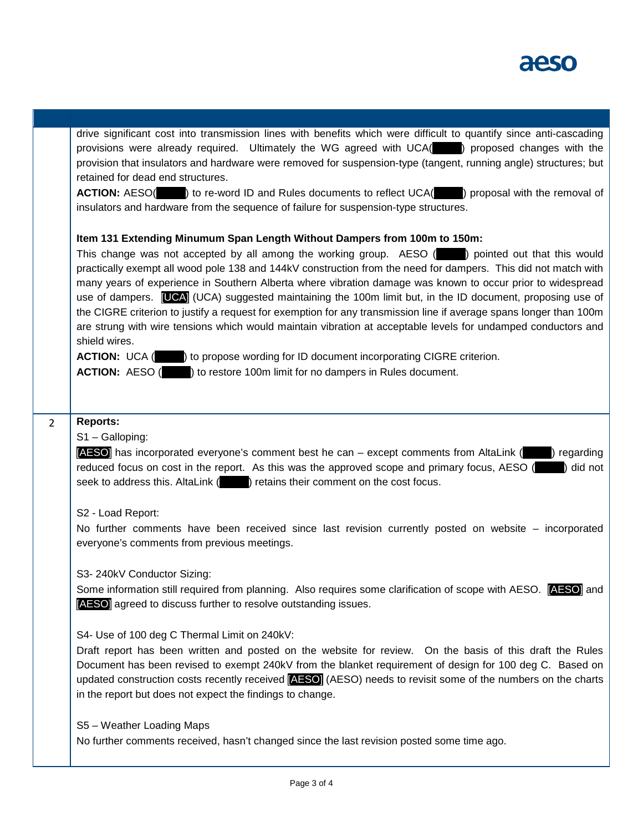

|                | drive significant cost into transmission lines with benefits which were difficult to quantify since anti-cascading<br>provisions were already required. Ultimately the WG agreed with UCA( ) proposed changes with the<br>provision that insulators and hardware were removed for suspension-type (tangent, running angle) structures; but<br>retained for dead end structures.<br><b>ACTION:</b> AESO( ) to re-word ID and Rules documents to reflect UCA( ) proposal with the removal of<br>insulators and hardware from the sequence of failure for suspension-type structures.                                                                                                                                                                                                                                                                                                                                                                              |
|----------------|-----------------------------------------------------------------------------------------------------------------------------------------------------------------------------------------------------------------------------------------------------------------------------------------------------------------------------------------------------------------------------------------------------------------------------------------------------------------------------------------------------------------------------------------------------------------------------------------------------------------------------------------------------------------------------------------------------------------------------------------------------------------------------------------------------------------------------------------------------------------------------------------------------------------------------------------------------------------|
|                | Item 131 Extending Minumum Span Length Without Dampers from 100m to 150m:<br>This change was not accepted by all among the working group. AESO () pointed out that this would<br>practically exempt all wood pole 138 and 144kV construction from the need for dampers. This did not match with<br>many years of experience in Southern Alberta where vibration damage was known to occur prior to widespread<br>use of dampers. [UCA] (UCA) suggested maintaining the 100m limit but, in the ID document, proposing use of<br>the CIGRE criterion to justify a request for exemption for any transmission line if average spans longer than 100m<br>are strung with wire tensions which would maintain vibration at acceptable levels for undamped conductors and<br>shield wires.<br>ACTION: UCA (Call 2) to propose wording for ID document incorporating CIGRE criterion.<br><b>ACTION:</b> AESO () to restore 100m limit for no dampers in Rules document. |
| $\overline{2}$ | <b>Reports:</b><br>S1-Galloping:<br><b>[AESO]</b> has incorporated everyone's comment best he can – except comments from AltaLink $($ ) regarding<br>reduced focus on cost in the report. As this was the approved scope and primary focus, AESO ()<br>did not<br>seek to address this. AltaLink () retains their comment on the cost focus.                                                                                                                                                                                                                                                                                                                                                                                                                                                                                                                                                                                                                    |
|                | S2 - Load Report:<br>No further comments have been received since last revision currently posted on website – incorporated<br>everyone's comments from previous meetings.                                                                                                                                                                                                                                                                                                                                                                                                                                                                                                                                                                                                                                                                                                                                                                                       |
|                | S3-240kV Conductor Sizing:<br>Some information still required from planning. Also requires some clarification of scope with AESO. <b>AESO</b> and<br>[AESO] agreed to discuss further to resolve outstanding issues.                                                                                                                                                                                                                                                                                                                                                                                                                                                                                                                                                                                                                                                                                                                                            |
|                | S4- Use of 100 deg C Thermal Limit on 240kV:<br>Draft report has been written and posted on the website for review. On the basis of this draft the Rules<br>Document has been revised to exempt 240kV from the blanket requirement of design for 100 deg C. Based on<br>updated construction costs recently received <b>[AESO]</b> (AESO) needs to revisit some of the numbers on the charts<br>in the report but does not expect the findings to change.                                                                                                                                                                                                                                                                                                                                                                                                                                                                                                       |
|                | S5 - Weather Loading Maps<br>No further comments received, hasn't changed since the last revision posted some time ago.                                                                                                                                                                                                                                                                                                                                                                                                                                                                                                                                                                                                                                                                                                                                                                                                                                         |